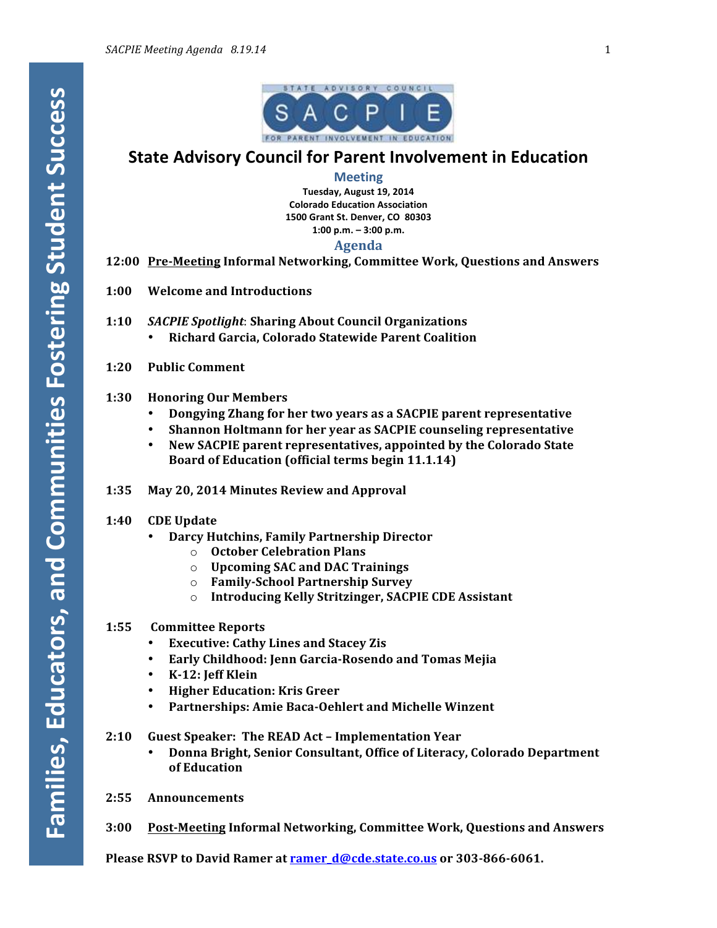

## **State Advisory Council for Parent Involvement in Education**

#### **Meeting**

**Tuesday, August 19, 2014 Colorado Education Association 1500 Grant St. Denver, CO 80303 1:00 p.m. – 3:00 p.m.**

### **Agenda**

- **12:00 Pre-Meeting Informal Networking, Committee Work, Questions and Answers**
- **1:00 Welcome and Introductions**
- **1:10** *SACPIE Spotlight*: **Sharing About Council Organizations**
	- **Richard Garcia, Colorado Statewide Parent Coalition**
- **1:20 Public Comment**

#### **1:30 Honoring Our Members**

- **Dongying Zhang for her two years as a SACPIE parent representative**
- Shannon Holtmann for her year as SACPIE counseling representative
- New SACPIE parent representatives, appointed by the Colorado State **Board of Education (official terms begin 11.1.14)**
- **1:35 May 20, 2014 Minutes Review and Approval**

### **1:40 CDE Update**

- **Darcy Hutchins, Family Partnership Director**
	- o **October Celebration Plans**
	- o **Upcoming SAC and DAC Trainings**
	- o **Family-School Partnership Survey**
	- o **Introducing Kelly Stritzinger, SACPIE CDE Assistant**

#### **1:55 Committee Reports**

- **Executive: Cathy Lines and Stacey Zis**
- **Early Childhood: Jenn Garcia-Rosendo and Tomas Mejia**
- **K-12: Jeff Klein**
- **Higher Education: Kris Greer**
- Partnerships: Amie Baca-Oehlert and Michelle Winzent
- **2:10 Guest Speaker: The READ Act – Implementation Year**
	- **Donna Bright, Senior Consultant, Office of Literacy, Colorado Department** of Education
- **2:55 Announcements**
- **3:00 Post-Meeting Informal Networking, Committee Work, Questions and Answers**

**Please RSVP** to David Ramer at **ramer\_d@cde.state.co.us** or 303-866-6061.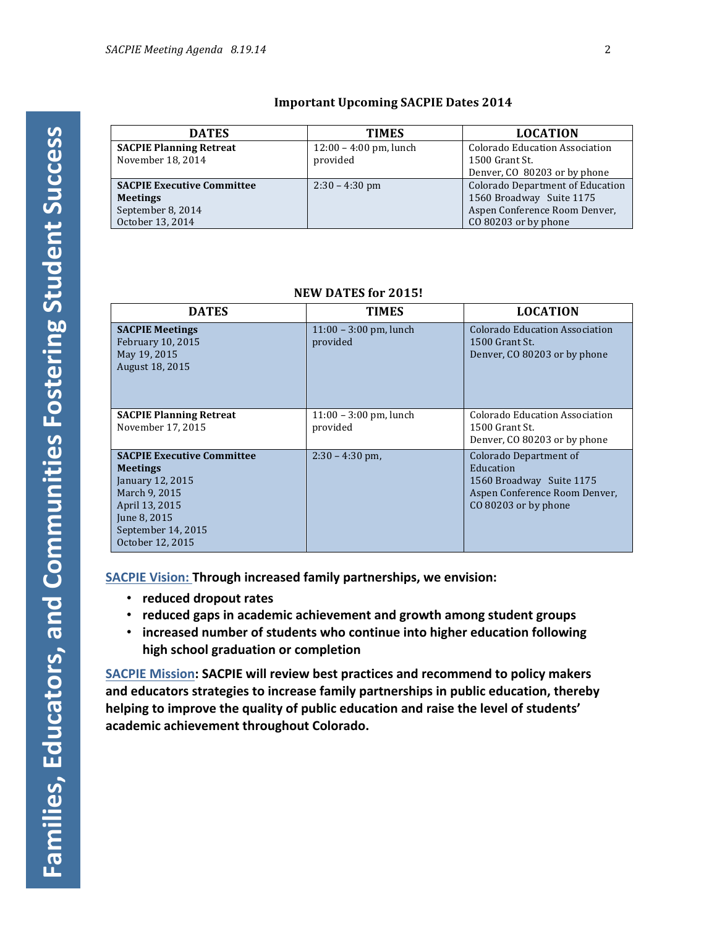### **Important Upcoming SACPIE Dates 2014**

| <b>DATES</b>                      | <b>TIMES</b>             | <b>LOCATION</b>                         |
|-----------------------------------|--------------------------|-----------------------------------------|
| <b>SACPIE Planning Retreat</b>    | $12:00 - 4:00$ pm, lunch | Colorado Education Association          |
| November 18, 2014                 | provided                 | 1500 Grant St.                          |
|                                   |                          | Denver, CO 80203 or by phone            |
| <b>SACPIE Executive Committee</b> | $2:30 - 4:30$ pm         | <b>Colorado Department of Education</b> |
| <b>Meetings</b>                   |                          | 1560 Broadway Suite 1175                |
| September 8, 2014                 |                          | Aspen Conference Room Denver,           |
| October 13, 2014                  |                          | CO 80203 or by phone                    |

### **NEW DATES for 2015!**

| <b>DATES</b>                                                                                                                                                          | <b>TIMES</b>                         | <b>LOCATION</b>                                                                                                          |
|-----------------------------------------------------------------------------------------------------------------------------------------------------------------------|--------------------------------------|--------------------------------------------------------------------------------------------------------------------------|
| <b>SACPIE Meetings</b><br>February 10, 2015<br>May 19, 2015<br>August 18, 2015                                                                                        | $11:00 - 3:00$ pm, lunch<br>provided | Colorado Education Association<br>1500 Grant St.<br>Denver, CO 80203 or by phone                                         |
| <b>SACPIE Planning Retreat</b><br>November 17, 2015                                                                                                                   | $11:00 - 3:00$ pm, lunch<br>provided | Colorado Education Association<br>1500 Grant St.<br>Denver, CO 80203 or by phone                                         |
| <b>SACPIE Executive Committee</b><br><b>Meetings</b><br>January 12, 2015<br>March 9, 2015<br>April 13, 2015<br>June 8, 2015<br>September 14, 2015<br>October 12, 2015 | $2:30 - 4:30$ pm,                    | Colorado Department of<br>Education<br>1560 Broadway Suite 1175<br>Aspen Conference Room Denver,<br>CO 80203 or by phone |

**SACPIE Vision: Through increased family partnerships, we envision:** 

- **reduced dropout rates**
- reduced gaps in academic achievement and growth among student groups
- **increased** number of students who continue into higher education following **high school graduation or completion**

**SACPIE Mission: SACPIE will review best practices and recommend to policy makers** and educators strategies to increase family partnerships in public education, thereby helping to improve the quality of public education and raise the level of students' academic achievement throughout Colorado.